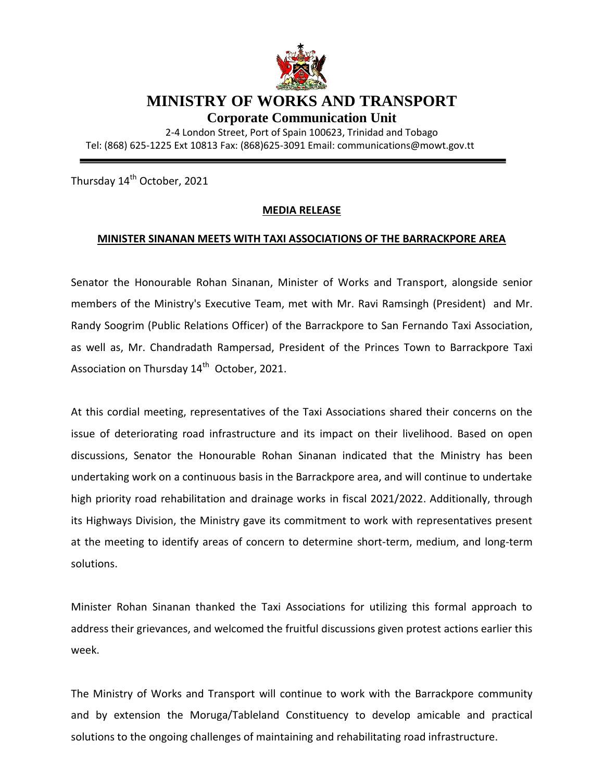

## **MINISTRY OF WORKS AND TRANSPORT**

**Corporate Communication Unit**

2-4 London Street, Port of Spain 100623, Trinidad and Tobago Tel: (868) 625-1225 Ext 10813 Fax: (868)625-3091 Email: communications@mowt.gov.tt

Thursday 14<sup>th</sup> October, 2021

## **MEDIA RELEASE**

## **MINISTER SINANAN MEETS WITH TAXI ASSOCIATIONS OF THE BARRACKPORE AREA**

Senator the Honourable Rohan Sinanan, Minister of Works and Transport, alongside senior members of the Ministry's Executive Team, met with Mr. Ravi Ramsingh (President) and Mr. Randy Soogrim (Public Relations Officer) of the Barrackpore to San Fernando Taxi Association, as well as, Mr. Chandradath Rampersad, President of the Princes Town to Barrackpore Taxi Association on Thursday  $14<sup>th</sup>$  October, 2021.

At this cordial meeting, representatives of the Taxi Associations shared their concerns on the issue of deteriorating road infrastructure and its impact on their livelihood. Based on open discussions, Senator the Honourable Rohan Sinanan indicated that the Ministry has been undertaking work on a continuous basis in the Barrackpore area, and will continue to undertake high priority road rehabilitation and drainage works in fiscal 2021/2022. Additionally, through its Highways Division, the Ministry gave its commitment to work with representatives present at the meeting to identify areas of concern to determine short-term, medium, and long-term solutions.

Minister Rohan Sinanan thanked the Taxi Associations for utilizing this formal approach to address their grievances, and welcomed the fruitful discussions given protest actions earlier this week.

The Ministry of Works and Transport will continue to work with the Barrackpore community and by extension the Moruga/Tableland Constituency to develop amicable and practical solutions to the ongoing challenges of maintaining and rehabilitating road infrastructure.